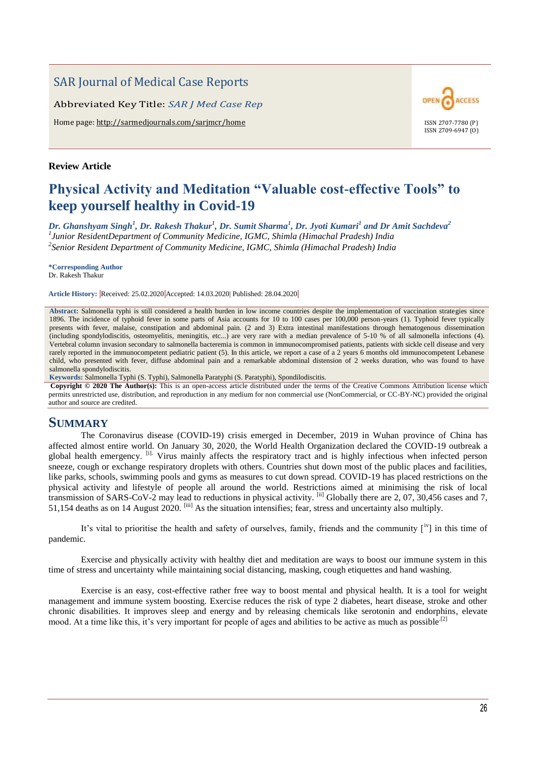## SAR Journal of Medical Case Reports

Abbreviated Key Title: *SAR J Med Case Rep*

Home page: http://sarmedjournals.com/sarjmcr/home ISSN 2707-7780 (P)

### **Review Article**

# ACCESS OPEN ISSN 2709-6947 (O)

# **Physical Activity and Meditation "Valuable cost-effective Tools" to keep yourself healthy in Covid-19**

*Dr. Ghanshyam Singh<sup>1</sup> , Dr. Rakesh Thakur<sup>1</sup> , Dr. Sumit Sharma<sup>1</sup> , Dr. Jyoti Kumari<sup>1</sup> and Dr Amit Sachdeva<sup>2</sup> 1 Junior ResidentDepartment of Community Medicine, IGMC, Shimla (Himachal Pradesh) India 2 Senior Resident Department of Community Medicine, IGMC, Shimla (Himachal Pradesh) India*

**\*Corresponding Author** Dr. Rakesh Thakur

**Article History: |**Received: 25.02.2020**|**Accepted: 14.03.2020| Published: 28.04.2020**|**

**Abstract:** Salmonella typhi is still considered a health burden in low income countries despite the implementation of vaccination strategies since 1896. The incidence of typhoid fever in some parts of Asia accounts for 10 to 100 cases per 100,000 person-years (1). Typhoid fever typically presents with fever, malaise, constipation and abdominal pain. (2 and 3) Extra intestinal manifestations through hematogenous dissemination (including spondylodiscitis, osteomyelitis, meningitis, etc...) are very rare with a median prevalence of 5-10 % of all salmonella infections (4). Vertebral column invasion secondary to salmonella bacteremia is common in immunocompromised patients, patients with sickle cell disease and very rarely reported in the immunocompetent pediatric patient (5). In this article, we report a case of a 2 years 6 months old immunocompetent Lebanese child, who presented with fever, diffuse abdominal pain and a remarkable abdominal distension of 2 weeks duration, who was found to have salmonella spondylodiscitis.

**Keywords:** Salmonella Typhi (S. Typhi), Salmonella Paratyphi (S. Paratyphi), Spondilodiscitis.

**Copyright © 2020 The Author(s):** This is an open-access article distributed under the terms of the Creative Commons Attribution license which permits unrestricted use, distribution, and reproduction in any medium for non commercial use (NonCommercial, or CC-BY-NC) provided the original author and source are credited.

## **SUMMARY**

The Coronavirus disease (COVID-19) crisis emerged in December, 2019 in Wuhan province of China has affected almost entire world. On January 30, 2020, the World Health Organization declared the COVID-19 outbreak a global health emergency. <sup>[i].</sup> Virus mainly affects the respiratory tract and is highly infectious when infected person sneeze, cough or exchange respiratory droplets with others. Countries shut down most of the public places and facilities, like parks, schools, swimming pools and gyms as measures to cut down spread. COVID-19 has placed restrictions on the physical activity and lifestyle of people all around the world. Restrictions aimed at minimising the risk of local transmission of SARS-CoV-2 may lead to reductions in physical activity. [ii] Globally there are 2, 07, 30,456 cases and 7, 51,154 deaths as on 14 August 2020. [iii] As the situation intensifies; fear, stress and uncertainty also multiply.

It's vital to prioritise the health and safety of ourselves, family, friends and the community [iv] in this time of pandemic.

Exercise and physically activity with healthy diet and meditation are ways to boost our immune system in this time of stress and uncertainty while maintaining social distancing, masking, cough etiquettes and hand washing.

Exercise is an easy, cost-effective rather free way to boost mental and physical health. It is a tool for weight management and immune system boosting. Exercise reduces the risk of type 2 diabetes, heart disease, stroke and other chronic disabilities. It improves sleep and energy and by releasing chemicals like serotonin and endorphins, elevate mood. At a time like this, it's very important for people of ages and abilities to be active as much as possible<sup>[2]</sup>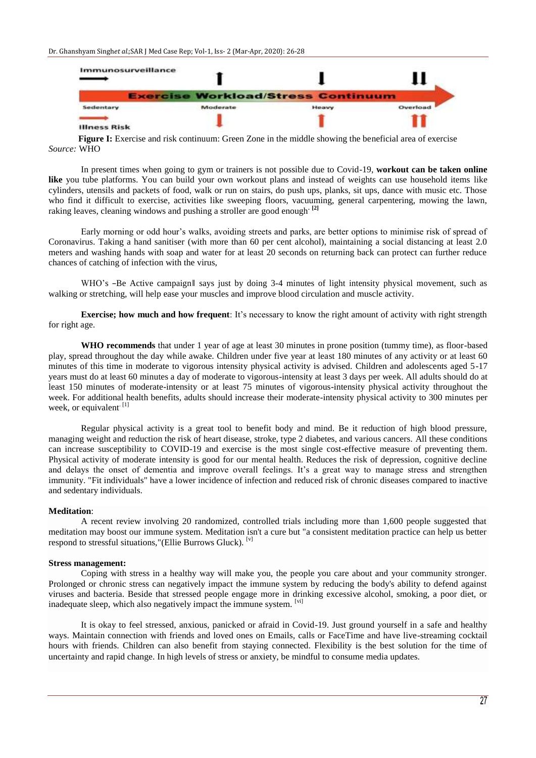

**Figure I:** Exercise and risk continuum: Green Zone in the middle showing the beneficial area of exercise *Source:* WHO

In present times when going to gym or trainers is not possible due to Covid-19, **workout can be taken online like** you tube platforms. You can build your own workout plans and instead of weights can use household items like cylinders, utensils and packets of food, walk or run on stairs, do push ups, planks, sit ups, dance with music etc. Those who find it difficult to exercise, activities like sweeping floors, vacuuming, general carpentering, mowing the lawn, raking leaves, cleaning windows and pushing a stroller are good enough**. [2]**

Early morning or odd hour's walks, avoiding streets and parks, are better options to minimise risk of spread of Coronavirus. Taking a hand sanitiser (with more than 60 per cent alcohol), maintaining a social distancing at least 2.0 meters and washing hands with soap and water for at least 20 seconds on returning back can protect can further reduce chances of catching of infection with the virus,

WHO's -Be Active campaign|| says just by doing 3-4 minutes of light intensity physical movement, such as walking or stretching, will help ease your muscles and improve blood circulation and muscle activity.

**Exercise; how much and how frequent**: It's necessary to know the right amount of activity with right strength for right age.

**WHO recommends** that under 1 year of age at least 30 minutes in prone position (tummy time), as floor-based play, spread throughout the day while awake. Children under five year at least 180 minutes of any activity or at least 60 minutes of this time in moderate to vigorous intensity physical activity is advised. Children and adolescents aged 5-17 years must do at least 60 minutes a day of moderate to vigorous-intensity at least 3 days per week. All adults should do at least 150 minutes of moderate-intensity or at least 75 minutes of vigorous-intensity physical activity throughout the week. For additional health benefits, adults should increase their moderate-intensity physical activity to 300 minutes per week, or equivalent<sup>[1]</sup>

Regular physical activity is a great tool to benefit body and mind. Be it reduction of high blood pressure, managing weight and reduction the risk of heart disease, stroke, type 2 diabetes, and various cancers. All these conditions can increase susceptibility to COVID-19 and exercise is the most single cost-effective measure of preventing them. Physical activity of moderate intensity is good for our mental health. Reduces the risk of depression, cognitive decline and delays the onset of dementia and improve overall feelings. It's a great way to manage stress and strengthen immunity. "Fit individuals" have a lower incidence of infection and [reduced risk of chronic diseases c](https://www.ncbi.nlm.nih.gov/pmc/articles/PMC3842061/)ompared to inactive and sedentary individuals.

#### **Meditation**:

A recent review involving 20 randomized, controlled trials including more than 1,600 people suggested that meditation may boost our immune system. Meditation isn't a cure but "a consistent meditation practice can help us better respond to stressful situations,"(Ellie Burrows Gluck). [v]

#### **Stress management:**

Coping with stress in a healthy way will make you, the people you care about and your community stronger. Prolonged or chronic stress can negatively impact the immune system by reducing the body's ability to defend against viruses and bacteria. Beside that stressed people engage more in drinking excessive alcohol, smoking, a poor diet, or inadequate sleep, which also negatively impact the immune system.  $[<sup>vi</sup>]$ 

It is okay to feel stressed, anxious, panicked or afraid in Covid-19. Just ground yourself in a safe and healthy ways. Maintain connection with friends and loved ones on Emails, calls or FaceTime and have live-streaming cocktail hours with friends. Children can also benefit from staying connected. Flexibility is the best solution for the time of uncertainty and rapid change. In high levels of stress or anxiety, be mindful to consume media updates.